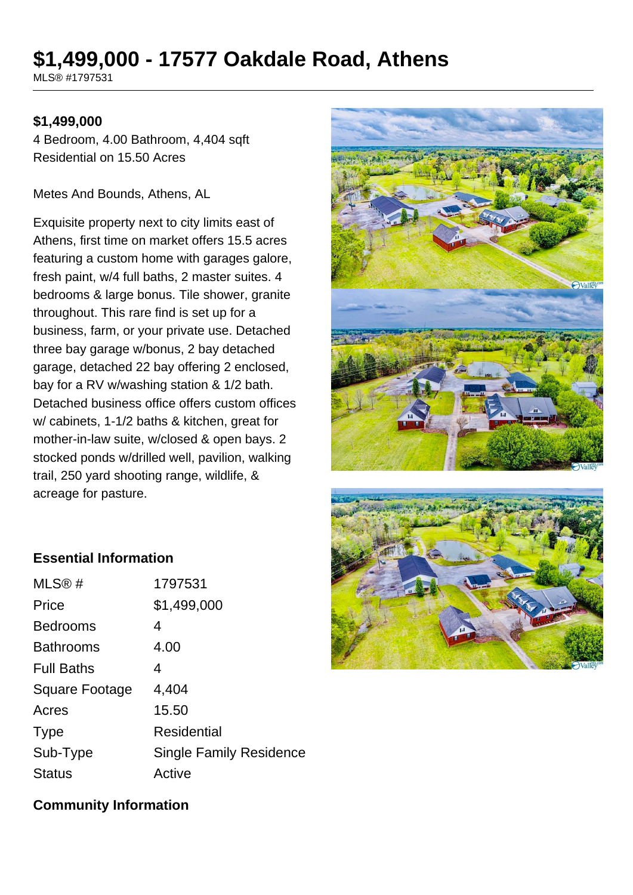# **\$1,499,000 - 17577 Oakdale Road, Athens**

MLS® #1797531

#### **\$1,499,000**

4 Bedroom, 4.00 Bathroom, 4,404 sqft Residential on 15.50 Acres

Metes And Bounds, Athens, AL

Exquisite property next to city limits east of Athens, first time on market offers 15.5 acres featuring a custom home with garages galore, fresh paint, w/4 full baths, 2 master suites. 4 bedrooms & large bonus. Tile shower, granite throughout. This rare find is set up for a business, farm, or your private use. Detached three bay garage w/bonus, 2 bay detached garage, detached 22 bay offering 2 enclosed, bay for a RV w/washing station & 1/2 bath. Detached business office offers custom offices w/ cabinets, 1-1/2 baths & kitchen, great for mother-in-law suite, w/closed & open bays. 2 stocked ponds w/drilled well, pavilion, walking trail, 250 yard shooting range, wildlife, & acreage for pasture.





#### **Essential Information**

| MLS®#                 | 1797531                        |
|-----------------------|--------------------------------|
| Price                 | \$1,499,000                    |
| <b>Bedrooms</b>       | 4                              |
| <b>Bathrooms</b>      | 4.00                           |
| <b>Full Baths</b>     | 4                              |
| <b>Square Footage</b> | 4,404                          |
| Acres                 | 15.50                          |
| <b>Type</b>           | Residential                    |
| Sub-Type              | <b>Single Family Residence</b> |
| <b>Status</b>         | Active                         |

#### **Community Information**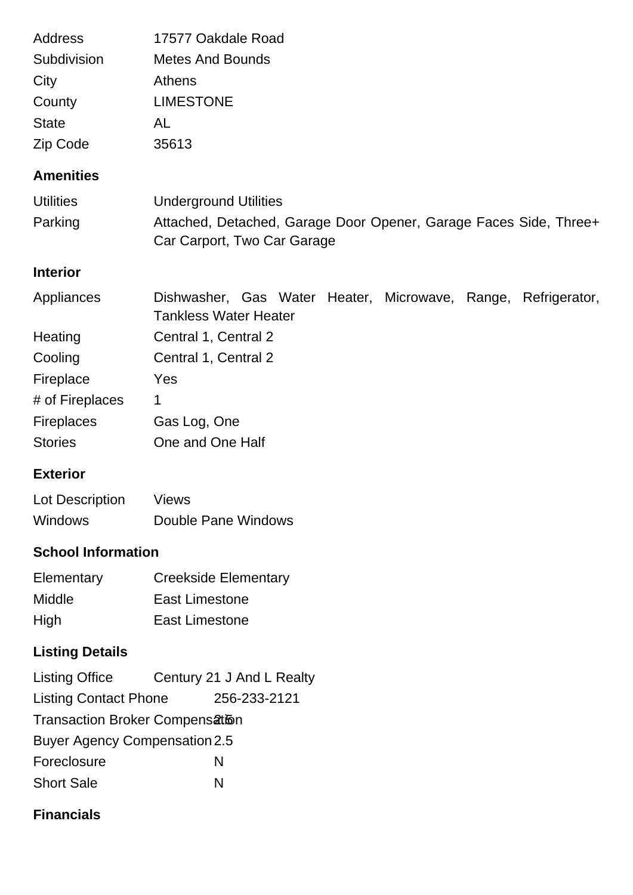| <b>Address</b>    | 17577 Oakdale Road                                                                               |  |
|-------------------|--------------------------------------------------------------------------------------------------|--|
| Subdivision       | <b>Metes And Bounds</b>                                                                          |  |
| City              | <b>Athens</b>                                                                                    |  |
| County            | <b>LIMESTONE</b>                                                                                 |  |
| <b>State</b>      | AL                                                                                               |  |
| Zip Code          | 35613                                                                                            |  |
| <b>Amenities</b>  |                                                                                                  |  |
| <b>Utilities</b>  | <b>Underground Utilities</b>                                                                     |  |
| Parking           | Attached, Detached, Garage Door Opener, Garage Faces Side, Three+<br>Car Carport, Two Car Garage |  |
| <b>Interior</b>   |                                                                                                  |  |
| Appliances        | Dishwasher, Gas Water Heater, Microwave, Range, Refrigerator,<br><b>Tankless Water Heater</b>    |  |
| Heating           | Central 1, Central 2                                                                             |  |
| Cooling           | Central 1, Central 2                                                                             |  |
| Fireplace         | Yes                                                                                              |  |
| # of Fireplaces   | $\mathbf 1$                                                                                      |  |
| <b>Fireplaces</b> | Gas Log, One                                                                                     |  |
| <b>Stories</b>    | One and One Half                                                                                 |  |

## **Exterior**

| Lot Description | <b>Views</b>        |
|-----------------|---------------------|
| <b>Windows</b>  | Double Pane Windows |

## **School Information**

| Elementary | <b>Creekside Elementary</b> |  |
|------------|-----------------------------|--|
| Middle     | East Limestone              |  |
| High       | East Limestone              |  |

## **Listing Details**

| Listing Office                       |   | Century 21 J And L Realty |  |  |  |
|--------------------------------------|---|---------------------------|--|--|--|
| <b>Listing Contact Phone</b>         |   | 256-233-2121              |  |  |  |
| Transaction Broker Compensation      |   |                           |  |  |  |
| <b>Buyer Agency Compensation 2.5</b> |   |                           |  |  |  |
| Foreclosure                          | N |                           |  |  |  |
| <b>Short Sale</b>                    | N |                           |  |  |  |

## **Financials**